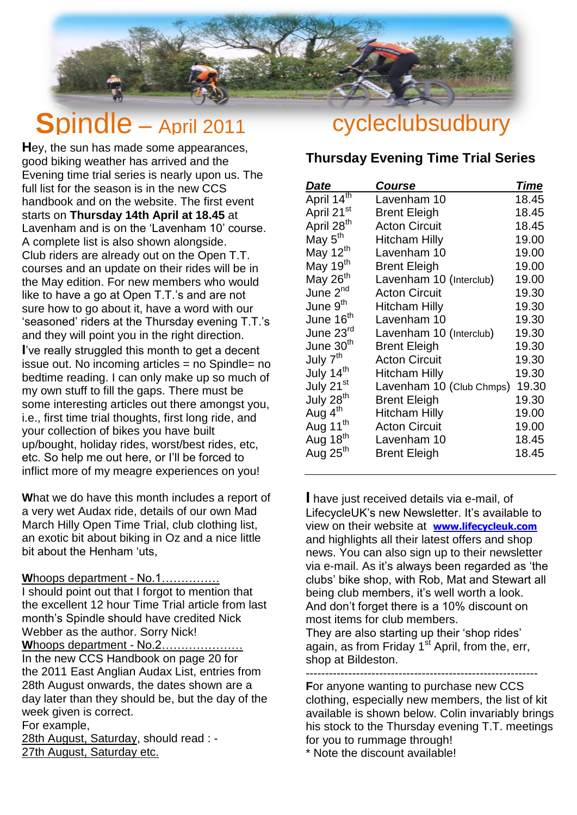

# Spindle – April 2011 cycleclubsudbury

**H**ey, the sun has made some appearances,<br>apod biking woather has arrived and the good biking weather has arrived and the Evening time trial series is nearly upon us. The full list for the season is in the new CCS handbook and on the website. The first event starts on **Thursday 14th April at 18.45** at Lavenham and is on the "Lavenham 10" course. A complete list is also shown alongside. Club riders are already out on the Open T.T. courses and an update on their rides will be in the May edition. For new members who would like to have a go at Open T.T.'s and are not sure how to go about it, have a word with our "seasoned" riders at the Thursday evening T.T."s and they will point you in the right direction. **I've really struggled this month to get a decent** issue out. No incoming articles  $=$  no Spindle $=$  no bedtime reading. I can only make up so much of my own stuff to fill the gaps. There must be some interesting articles out there amongst you, i.e., first time trial thoughts, first long ride, and your collection of bikes you have built up/bought, holiday rides, worst/best rides, etc, etc. So help me out here, or I"ll be forced to inflict more of my meagre experiences on you!

**W**hat we do have this month includes a report of a very wet Audax ride, details of our own Mad March Hilly Open Time Trial, club clothing list, an exotic bit about biking in Oz and a nice little bit about the Henham 'uts,

**W**hoops department - No.1……………

I should point out that I forgot to mention that the excellent 12 hour Time Trial article from last month"s Spindle should have credited Nick Webber as the author. Sorry Nick!

**W**hoops department - No.2…………………

In the new CCS Handbook on page 20 for the 2011 East Anglian Audax List, entries from 28th August onwards, the dates shown are a day later than they should be, but the day of the week given is correct.

#### For example,

28th August, Saturday, should read : -27th August, Saturday etc.

# **Thursday Evening Time Trial Series**

| Date                   | <b>Course</b>            | Time  |
|------------------------|--------------------------|-------|
| April 14 <sup>th</sup> | Lavenham 10              | 18.45 |
| April 21st             | <b>Brent Eleigh</b>      | 18.45 |
| April 28 <sup>th</sup> | <b>Acton Circuit</b>     | 18.45 |
| May 5 <sup>th</sup>    | Hitcham Hilly            | 19.00 |
| May 12 <sup>th</sup>   | Lavenham 10              | 19.00 |
| May 19 <sup>th</sup>   | <b>Brent Eleigh</b>      | 19.00 |
| May 26 <sup>th</sup>   | Lavenham 10 (Interclub)  | 19.00 |
| June 2 <sup>nd</sup>   | <b>Acton Circuit</b>     | 19.30 |
| June 9 <sup>th</sup>   | Hitcham Hilly            | 19.30 |
| June 16 <sup>th</sup>  | Lavenham 10              | 19.30 |
| June 23rd              | Lavenham 10 (Interclub)  | 19.30 |
| June 30 <sup>th</sup>  | <b>Brent Eleigh</b>      | 19.30 |
| July 7 <sup>th</sup>   | <b>Acton Circuit</b>     | 19.30 |
| July 14 <sup>th</sup>  | Hitcham Hilly            | 19.30 |
| July 21st              | Lavenham 10 (Club Chmps) | 19.30 |
| July 28 <sup>th</sup>  | <b>Brent Eleigh</b>      | 19.30 |
| Aug 4 <sup>th</sup>    | Hitcham Hilly            | 19.00 |
| Aug 11 <sup>th</sup>   | <b>Acton Circuit</b>     | 19.00 |
| Aug 18 <sup>th</sup>   | Lavenham 10              | 18.45 |
| Aug 25 <sup>th</sup>   | <b>Brent Eleigh</b>      | 18.45 |
|                        |                          |       |

**I** have just received details via e-mail, of LifecycleUK's new Newsletter. It's available to view on their website at **[www.lifecycleuk.com](http://www.lifecycleuk.com/)** and highlights all their latest offers and shop news. You can also sign up to their newsletter via e-mail. As it"s always been regarded as "the clubs" bike shop, with Rob, Mat and Stewart all being club members, it's well worth a look. And don"t forget there is a 10% discount on most items for club members.

They are also starting up their 'shop rides' again, as from Friday  $1<sup>st</sup>$  April, from the, err, shop at Bildeston.

------------------------------------------------------------

**F**or anyone wanting to purchase new CCS clothing, especially new members, the list of kit available is shown below. Colin invariably brings his stock to the Thursday evening T.T. meetings for you to rummage through!

\* Note the discount available!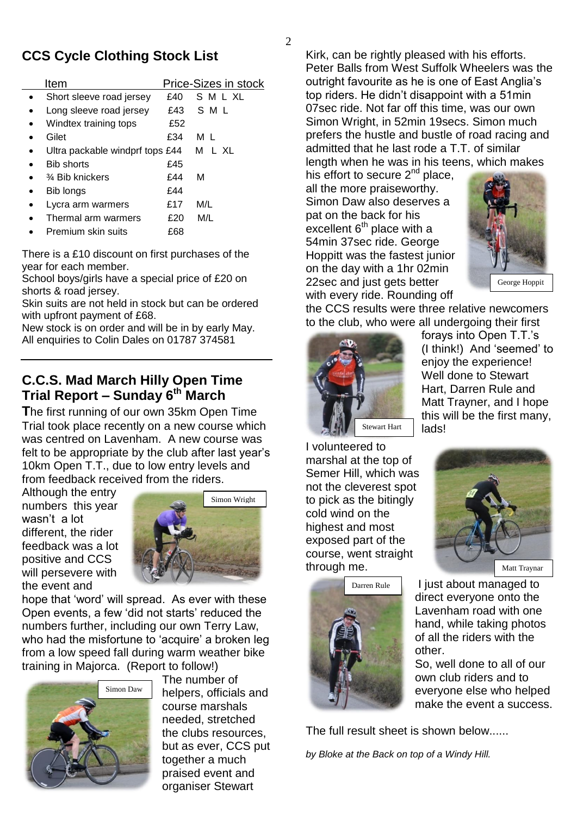# **CCS Cycle Clothing Stock List**

|           | Item                            | Price-Sizes in stock |           |  |  |
|-----------|---------------------------------|----------------------|-----------|--|--|
|           | Short sleeve road jersey        | £40                  | SMLXL     |  |  |
|           | Long sleeve road jersey         | £43.                 | SML       |  |  |
|           | Windtex training tops           | £52                  |           |  |  |
|           | Gilet                           | £34                  | M L       |  |  |
|           | Ultra packable windprf tops £44 |                      | м<br>L XL |  |  |
|           | <b>Bib shorts</b>               | £45                  |           |  |  |
| $\bullet$ | <b>% Bib knickers</b>           | £44                  | м         |  |  |
|           | Bib longs                       | £44                  |           |  |  |
|           | Lycra arm warmers               | £17                  | M/L       |  |  |
|           | Thermal arm warmers             | £20                  | M/L       |  |  |
|           | Premium skin suits              | £68                  |           |  |  |

There is a £10 discount on first purchases of the year for each member.

School boys/girls have a special price of £20 on shorts & road jersey.

Skin suits are not held in stock but can be ordered with upfront payment of £68.

New stock is on order and will be in by early May. All enquiries to Colin Dales on 01787 374581

## **C.C.S. Mad March Hilly Open Time Trial Report – Sunday 6th March**

**T**he first running of our own 35km Open Time Trial took place recently on a new course which was centred on Lavenham. A new course was felt to be appropriate by the club after last year"s 10km Open T.T., due to low entry levels and from feedback received from the riders.

Although the entry numbers this year wasn't a lot different, the rider feedback was a lot positive and CCS will persevere with the event and



hope that "word" will spread. As ever with these Open events, a few "did not starts" reduced the numbers further, including our own Terry Law, who had the misfortune to 'acquire' a broken leg from a low speed fall during warm weather bike training in Majorca. (Report to follow!)



The number of helpers, officials and course marshals needed, stretched the clubs resources, but as ever, CCS put together a much praised event and organiser Stewart

Kirk, can be rightly pleased with his efforts. Peter Balls from West Suffolk Wheelers was the outright favourite as he is one of East Anglia"s top riders. He didn"t disappoint with a 51min 07sec ride. Not far off this time, was our own Simon Wright, in 52min 19secs. Simon much prefers the hustle and bustle of road racing and admitted that he last rode a T.T. of similar length when he was in his teens, which makes

his effort to secure  $2^{nd}$  place, all the more praiseworthy. Simon Daw also deserves a pat on the back for his excellent  $6<sup>th</sup>$  place with a 54min 37sec ride. George Hoppitt was the fastest junior on the day with a 1hr 02min 22sec and just gets better with every ride. Rounding off



the CCS results were three relative newcomers to the club, who were all undergoing their first



forays into Open T.T."s (I think!) And "seemed" to enjoy the experience! Well done to Stewart Hart, Darren Rule and Matt Trayner, and I hope this will be the first many, lads!

I volunteered to marshal at the top of Semer Hill, which was not the cleverest spot to pick as the bitingly cold wind on the highest and most exposed part of the course, went straight through me.



Matt Traynar

I just about managed to direct everyone onto the Lavenham road with one hand, while taking photos of all the riders with the other.

So, well done to all of our own club riders and to everyone else who helped make the event a success.

The full result sheet is shown below......

*by Bloke at the Back on top of a Windy Hill.*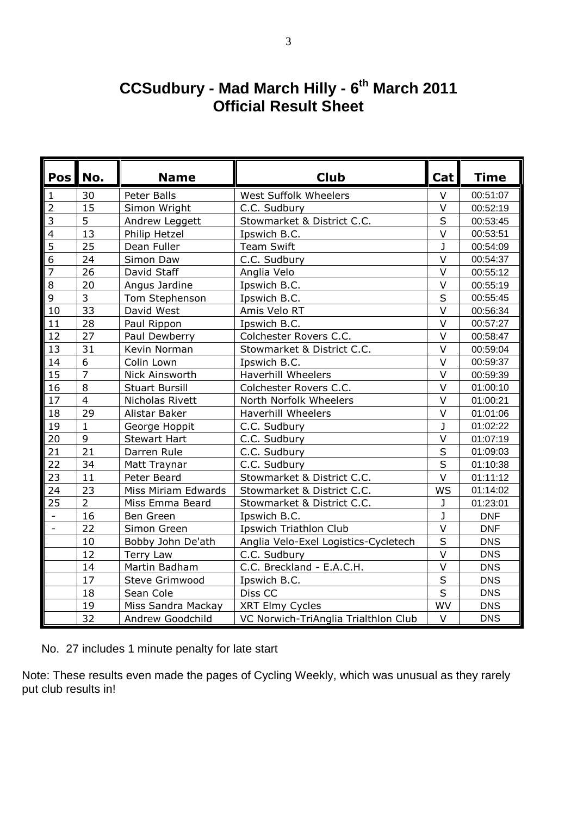# **CCSudbury - Mad March Hilly - 6 th March 2011 Official Result Sheet**

| Pos <sup> </sup>         | l No.          | <b>Name</b>           | <b>Club</b>                          | Cat                     | <b>Time</b> |
|--------------------------|----------------|-----------------------|--------------------------------------|-------------------------|-------------|
| $\mathbf{1}$             | 30             | Peter Balls           | West Suffolk Wheelers                | $\vee$                  | 00:51:07    |
| $\overline{2}$           | 15             | Simon Wright          | C.C. Sudbury                         | $\vee$                  | 00:52:19    |
| $\overline{3}$           | 5              | Andrew Leggett        | Stowmarket & District C.C.           | $\overline{\mathsf{s}}$ | 00:53:45    |
| $\overline{4}$           | 13             | Philip Hetzel         | Ipswich B.C.                         | V                       | 00:53:51    |
| 5                        | 25             | Dean Fuller           | <b>Team Swift</b>                    | J                       | 00:54:09    |
| $\overline{6}$           | 24             | Simon Daw             | C.C. Sudbury                         | $\vee$                  | 00:54:37    |
| $\overline{7}$           | 26             | David Staff           | Anglia Velo                          | $\vee$                  | 00:55:12    |
| 8                        | 20             | Angus Jardine         | Ipswich B.C.                         | V                       | 00:55:19    |
| 9                        | $\overline{3}$ | Tom Stephenson        | Ipswich B.C.                         | S                       | 00:55:45    |
| 10                       | 33             | David West            | Amis Velo RT                         | V                       | 00:56:34    |
| 11                       | 28             | Paul Rippon           | Ipswich B.C.                         | V                       | 00:57:27    |
| 12                       | 27             | Paul Dewberry         | Colchester Rovers C.C.               | $\vee$                  | 00:58:47    |
| 13                       | 31             | Kevin Norman          | Stowmarket & District C.C.           | $\vee$                  | 00:59:04    |
| 14                       | 6              | Colin Lown            | Ipswich B.C.                         | $\vee$                  | 00:59:37    |
| 15                       | $\overline{7}$ | Nick Ainsworth        | <b>Haverhill Wheelers</b>            | $\vee$                  | 00:59:39    |
| 16                       | 8              | <b>Stuart Bursill</b> | Colchester Rovers C.C.               | $\vee$                  | 01:00:10    |
| 17                       | $\overline{4}$ | Nicholas Rivett       | North Norfolk Wheelers               | V                       | 01:00:21    |
| 18                       | 29             | Alistar Baker         | Haverhill Wheelers                   | $\vee$                  | 01:01:06    |
| 19                       | $\mathbf{1}$   | George Hoppit         | C.C. Sudbury                         | J                       | 01:02:22    |
| 20                       | 9              | <b>Stewart Hart</b>   | C.C. Sudbury                         | $\vee$                  | 01:07:19    |
| 21                       | 21             | Darren Rule           | C.C. Sudbury                         | S                       | 01:09:03    |
| 22                       | 34             | Matt Traynar          | C.C. Sudbury                         | S                       | 01:10:38    |
| 23                       | 11             | Peter Beard           | Stowmarket & District C.C.           | $\vee$                  | 01:11:12    |
| 24                       | 23             | Miss Miriam Edwards   | Stowmarket & District C.C.           | WS                      | 01:14:02    |
| 25                       | $\overline{2}$ | Miss Emma Beard       | Stowmarket & District C.C.           | $\mathbf{J}$            | 01:23:01    |
| $\mathbf{r}$             | 16             | Ben Green             | Ipswich B.C.                         | J                       | <b>DNF</b>  |
| $\overline{\phantom{a}}$ | 22             | Simon Green           | <b>Ipswich Triathlon Club</b>        | $\vee$                  | <b>DNF</b>  |
|                          | 10             | Bobby John De'ath     | Anglia Velo-Exel Logistics-Cycletech | $\overline{\mathsf{s}}$ | <b>DNS</b>  |
|                          | 12             | Terry Law             | C.C. Sudbury                         | $\vee$                  | <b>DNS</b>  |
|                          | 14             | Martin Badham         | C.C. Breckland - E.A.C.H.            | $\vee$                  | <b>DNS</b>  |
|                          | 17             | Steve Grimwood        | Ipswich B.C.                         | S                       | <b>DNS</b>  |
|                          | 18             | Sean Cole             | Diss CC                              | $\overline{\mathsf{s}}$ | <b>DNS</b>  |
|                          | 19             | Miss Sandra Mackay    | XRT Elmy Cycles                      | <b>WV</b>               | <b>DNS</b>  |
|                          | 32             | Andrew Goodchild      | VC Norwich-TriAnglia Trialthlon Club | $\vee$                  | <b>DNS</b>  |

No. 27 includes 1 minute penalty for late start

Note: These results even made the pages of Cycling Weekly, which was unusual as they rarely put club results in!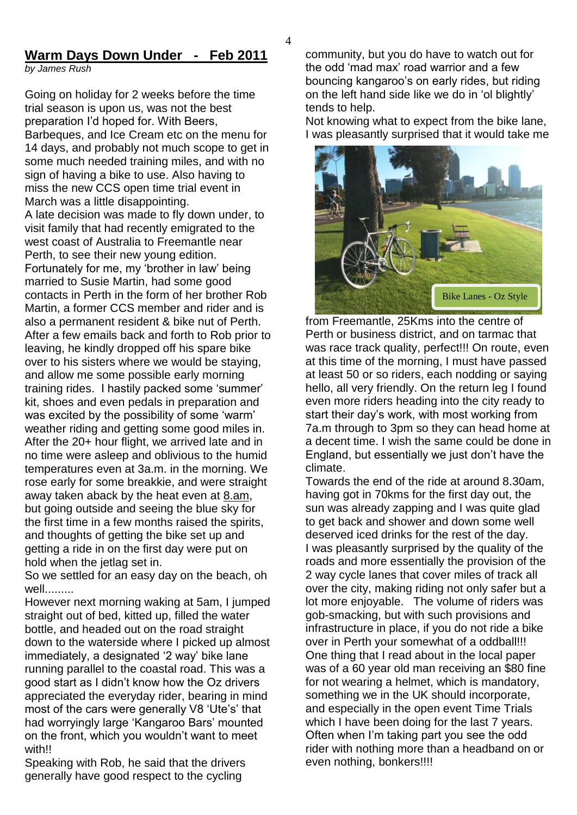### **Warm Days Down Under - Feb 2011**

*by James Rush*

Going on holiday for 2 weeks before the time trial season is upon us, was not the best preparation I"d hoped for. With Beers, Barbeques, and Ice Cream etc on the menu for 14 days, and probably not much scope to get in some much needed training miles, and with no sign of having a bike to use. Also having to miss the new CCS open time trial event in March was a little disappointing. A late decision was made to fly down under, to visit family that had recently emigrated to the west coast of Australia to Freemantle near Perth, to see their new young edition. Fortunately for me, my "brother in law" being married to Susie Martin, had some good contacts in Perth in the form of her brother Rob Martin, a former CCS member and rider and is also a permanent resident & bike nut of Perth. After a few emails back and forth to Rob prior to leaving, he kindly dropped off his spare bike over to his sisters where we would be staying, and allow me some possible early morning training rides. I hastily packed some "summer" kit, shoes and even pedals in preparation and was excited by the possibility of some 'warm' weather riding and getting some good miles in. After the 20+ hour flight, we arrived late and in no time were asleep and oblivious to the humid temperatures even at 3a.m. in the morning. We rose early for some breakkie, and were straight away taken aback by the heat even at [8.am,](http://8.am/) but going outside and seeing the blue sky for the first time in a few months raised the spirits, and thoughts of getting the bike set up and getting a ride in on the first day were put on hold when the jetlag set in.

So we settled for an easy day on the beach, oh well.........

However next morning waking at 5am, I jumped straight out of bed, kitted up, filled the water bottle, and headed out on the road straight down to the waterside where I picked up almost immediately, a designated '2 way' bike lane running parallel to the coastal road. This was a good start as I didn"t know how the Oz drivers appreciated the everyday rider, bearing in mind most of the cars were generally V8 "Ute"s" that had worryingly large 'Kangaroo Bars' mounted on the front, which you wouldn"t want to meet with!!

Speaking with Rob, he said that the drivers generally have good respect to the cycling

community, but you do have to watch out for the odd "mad max" road warrior and a few bouncing kangaroo"s on early rides, but riding on the left hand side like we do in "ol blightly" tends to help.

Not knowing what to expect from the bike lane, I was pleasantly surprised that it would take me



from Freemantle, 25Kms into the centre of Perth or business district, and on tarmac that was race track quality, perfect!!! On route, even at this time of the morning, I must have passed at least 50 or so riders, each nodding or saying hello, all very friendly. On the return leg I found even more riders heading into the city ready to start their day"s work, with most working from 7a.m through to 3pm so they can head home at a decent time. I wish the same could be done in England, but essentially we just don"t have the climate.

Towards the end of the ride at around 8.30am, having got in 70kms for the first day out, the sun was already zapping and I was quite glad to get back and shower and down some well deserved iced drinks for the rest of the day. I was pleasantly surprised by the quality of the roads and more essentially the provision of the 2 way cycle lanes that cover miles of track all over the city, making riding not only safer but a lot more enjoyable. The volume of riders was gob-smacking, but with such provisions and infrastructure in place, if you do not ride a bike over in Perth your somewhat of a oddball!!! One thing that I read about in the local paper was of a 60 year old man receiving an \$80 fine for not wearing a helmet, which is mandatory, something we in the UK should incorporate, and especially in the open event Time Trials which I have been doing for the last 7 years. Often when I"m taking part you see the odd rider with nothing more than a headband on or even nothing, bonkers!!!!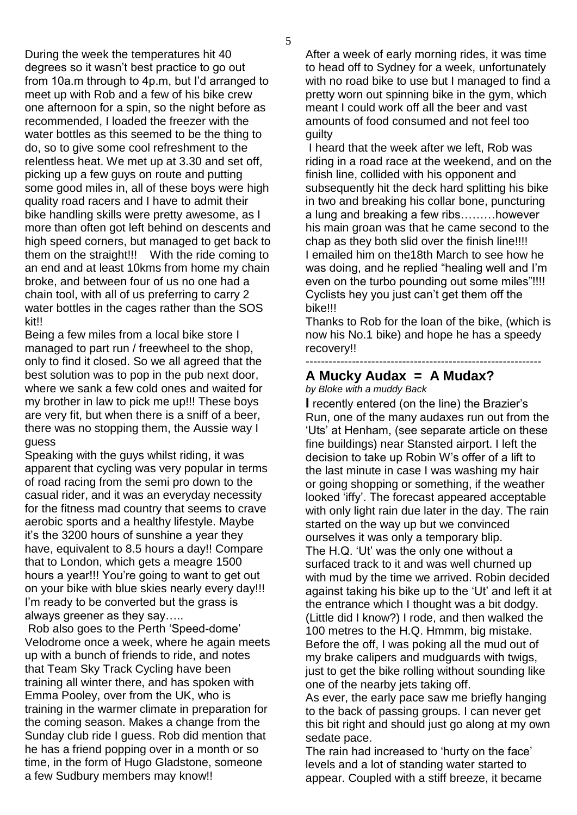During the week the temperatures hit 40 degrees so it wasn"t best practice to go out from 10a.m through to 4p.m, but I"d arranged to meet up with Rob and a few of his bike crew one afternoon for a spin, so the night before as recommended, I loaded the freezer with the water bottles as this seemed to be the thing to do, so to give some cool refreshment to the relentless heat. We met up at 3.30 and set off, picking up a few guys on route and putting some good miles in, all of these boys were high quality road racers and I have to admit their bike handling skills were pretty awesome, as I more than often got left behind on descents and high speed corners, but managed to get back to them on the straight!!! With the ride coming to an end and at least 10kms from home my chain broke, and between four of us no one had a chain tool, with all of us preferring to carry 2 water bottles in the cages rather than the SOS kit!!

Being a few miles from a local bike store I managed to part run / freewheel to the shop, only to find it closed. So we all agreed that the best solution was to pop in the pub next door, where we sank a few cold ones and waited for my brother in law to pick me up!!! These boys are very fit, but when there is a sniff of a beer, there was no stopping them, the Aussie way I guess

Speaking with the guys whilst riding, it was apparent that cycling was very popular in terms of road racing from the semi pro down to the casual rider, and it was an everyday necessity for the fitness mad country that seems to crave aerobic sports and a healthy lifestyle. Maybe it"s the 3200 hours of sunshine a year they have, equivalent to 8.5 hours a day!! Compare that to London, which gets a meagre 1500 hours a year!!! You"re going to want to get out on your bike with blue skies nearly every day!!! I'm ready to be converted but the grass is always greener as they say…..

Rob also goes to the Perth "Speed-dome" Velodrome once a week, where he again meets up with a bunch of friends to ride, and notes that Team Sky Track Cycling have been training all winter there, and has spoken with Emma Pooley, over from the UK, who is training in the warmer climate in preparation for the coming season. Makes a change from the Sunday club ride I guess. Rob did mention that he has a friend popping over in a month or so time, in the form of Hugo Gladstone, someone a few Sudbury members may know!!

After a week of early morning rides, it was time to head off to Sydney for a week, unfortunately with no road bike to use but I managed to find a pretty worn out spinning bike in the gym, which meant I could work off all the beer and vast amounts of food consumed and not feel too guilty

I heard that the week after we left, Rob was riding in a road race at the weekend, and on the finish line, collided with his opponent and subsequently hit the deck hard splitting his bike in two and breaking his collar bone, puncturing a lung and breaking a few ribs………however his main groan was that he came second to the chap as they both slid over the finish line!!!! I emailed him on the18th March to see how he was doing, and he replied "healing well and I"m even on the turbo pounding out some miles"!!!! Cyclists hey you just can"t get them off the bike!!!

Thanks to Rob for the loan of the bike, (which is now his No.1 bike) and hope he has a speedy recovery!!

#### ------------------------------------------------------------- **A Mucky Audax = A Mudax?**

*by Bloke with a muddy Back*

**I** recently entered (on the line) the Brazier"s Run, one of the many audaxes run out from the 'Uts' at Henham, (see separate article on these fine buildings) near Stansted airport. I left the decision to take up Robin W"s offer of a lift to the last minute in case I was washing my hair or going shopping or something, if the weather looked "iffy". The forecast appeared acceptable with only light rain due later in the day. The rain started on the way up but we convinced ourselves it was only a temporary blip. The H.Q. "Ut" was the only one without a surfaced track to it and was well churned up with mud by the time we arrived. Robin decided against taking his bike up to the "Ut" and left it at the entrance which I thought was a bit dodgy. (Little did I know?) I rode, and then walked the 100 metres to the H.Q. Hmmm, big mistake. Before the off, I was poking all the mud out of my brake calipers and mudguards with twigs, just to get the bike rolling without sounding like one of the nearby jets taking off.

As ever, the early pace saw me briefly hanging to the back of passing groups. I can never get this bit right and should just go along at my own sedate pace.

The rain had increased to 'hurty on the face' levels and a lot of standing water started to appear. Coupled with a stiff breeze, it became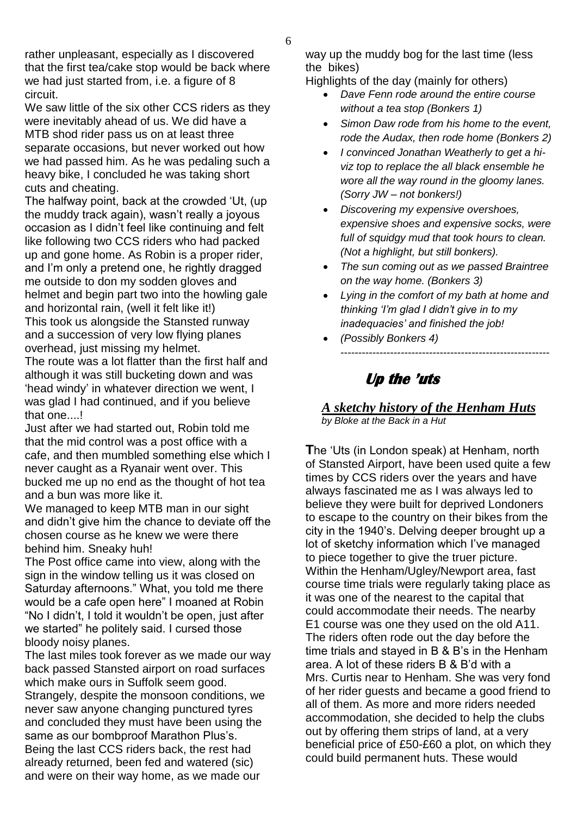rather unpleasant, especially as I discovered that the first tea/cake stop would be back where we had just started from, i.e. a figure of 8 circuit.

We saw little of the six other CCS riders as they were inevitably ahead of us. We did have a MTB shod rider pass us on at least three separate occasions, but never worked out how we had passed him. As he was pedaling such a heavy bike, I concluded he was taking short cuts and cheating.

The halfway point, back at the crowded "Ut, (up the muddy track again), wasn't really a joyous occasion as I didn"t feel like continuing and felt like following two CCS riders who had packed up and gone home. As Robin is a proper rider, and I'm only a pretend one, he rightly dragged me outside to don my sodden gloves and helmet and begin part two into the howling gale and horizontal rain, (well it felt like it!) This took us alongside the Stansted runway and a succession of very low flying planes overhead, just missing my helmet.

The route was a lot flatter than the first half and although it was still bucketing down and was 'head windy' in whatever direction we went, I was glad I had continued, and if you believe that one....!

Just after we had started out, Robin told me that the mid control was a post office with a cafe, and then mumbled something else which I never caught as a Ryanair went over. This bucked me up no end as the thought of hot tea and a bun was more like it.

We managed to keep MTB man in our sight and didn"t give him the chance to deviate off the chosen course as he knew we were there behind him. Sneaky huh!

The Post office came into view, along with the sign in the window telling us it was closed on Saturday afternoons." What, you told me there would be a cafe open here" I moaned at Robin "No I didn"t, I told it wouldn"t be open, just after we started" he politely said. I cursed those bloody noisy planes.

The last miles took forever as we made our way back passed Stansted airport on road surfaces which make ours in Suffolk seem good. Strangely, despite the monsoon conditions, we never saw anyone changing punctured tyres and concluded they must have been using the same as our bombproof Marathon Plus's. Being the last CCS riders back, the rest had already returned, been fed and watered (sic) and were on their way home, as we made our

way up the muddy bog for the last time (less the bikes)

Highlights of the day (mainly for others)

- *Dave Fenn rode around the entire course without a tea stop (Bonkers 1)*
- *Simon Daw rode from his home to the event, rode the Audax, then rode home (Bonkers 2)*
- *I convinced Jonathan Weatherly to get a hiviz top to replace the all black ensemble he wore all the way round in the gloomy lanes. (Sorry JW – not bonkers!)*
- *Discovering my expensive overshoes, expensive shoes and expensive socks, were full of squidgy mud that took hours to clean. (Not a highlight, but still bonkers).*
- *The sun coming out as we passed Braintree on the way home. (Bonkers 3)*
- *Lying in the comfort of my bath at home and thinking 'I'm glad I didn't give in to my inadequacies' and finished the job!*
- *(Possibly Bonkers 4)* -----------------------------------------------------------

# **Up the 'uts**

*A sketchy history of the Henham Huts by Bloke at the Back in a Hut*

**T**he "Uts (in London speak) at Henham, north of Stansted Airport, have been used quite a few times by CCS riders over the years and have always fascinated me as I was always led to believe they were built for deprived Londoners to escape to the country on their bikes from the city in the 1940"s. Delving deeper brought up a lot of sketchy information which I"ve managed to piece together to give the truer picture. Within the Henham/Ugley/Newport area, fast course time trials were regularly taking place as it was one of the nearest to the capital that could accommodate their needs. The nearby E1 course was one they used on the old A11. The riders often rode out the day before the time trials and stayed in B & B's in the Henham area. A lot of these riders B & B"d with a Mrs. Curtis near to Henham. She was very fond of her rider guests and became a good friend to all of them. As more and more riders needed accommodation, she decided to help the clubs out by offering them strips of land, at a very beneficial price of £50-£60 a plot, on which they could build permanent huts. These would